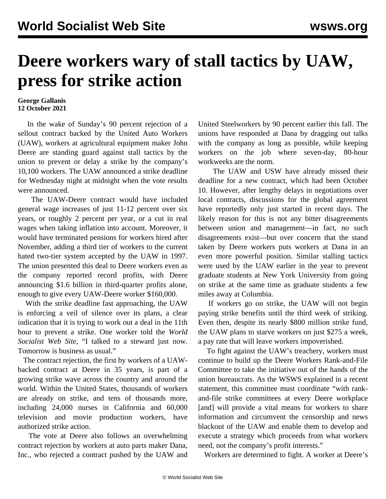## **Deere workers wary of stall tactics by UAW, press for strike action**

## **George Gallanis 12 October 2021**

 In the wake of Sunday's 90 percent rejection of a sellout contract backed by the United Auto Workers (UAW), workers at agricultural equipment maker John Deere are standing guard against stall tactics by the union to prevent or delay a strike by the company's 10,100 workers. The UAW announced a strike deadline for Wednesday night at midnight when the vote results were announced.

 The UAW-Deere contract would have included general wage increases of just 11-12 percent over six years, or roughly 2 percent per year, or a cut in real wages when taking inflation into account. Moreover, it would have terminated pensions for workers hired after November, adding a third tier of workers to the current hated two-tier system accepted by the UAW in 1997. The union presented this deal to Deere workers even as the company reported record profits, with Deere announcing \$1.6 billion in third-quarter profits alone, enough to give every UAW-Deere worker \$160,000.

 With the strike deadline fast approaching, the UAW is enforcing a veil of silence over its plans, a clear indication that it is trying to work out a deal in the 11th hour to prevent a strike. One worker told the *World Socialist Web Site*, "I talked to a steward just now. Tomorrow is business as usual."

 The contract rejection, the first by workers of a UAWbacked contract at Deere in 35 years, is part of a growing strike wave across the country and around the world. Within the United States, thousands of workers are already on strike, and tens of thousands more, including 24,000 nurses in California and 60,000 television and movie production workers, have authorized strike action.

 The vote at Deere also follows an overwhelming contract rejection by workers at auto parts maker Dana, Inc., who rejected a contract pushed by the UAW and United Steelworkers by 90 percent earlier this fall. The unions have responded at Dana by dragging out talks with the company as long as possible, while keeping workers on the job where seven-day, 80-hour workweeks are the norm.

 The UAW and USW have already missed their deadline for a new contract, which had been October 10. However, after lengthy delays in negotiations over local contracts, discussions for the global agreement have reportedly only just started in recent days. The likely reason for this is not any bitter disagreements between union and management—in fact, no such disagreements exist—but over concern that the stand taken by Deere workers puts workers at Dana in an even more [powerful position](/en/articles/2021/10/06/dana-o06.html). Similar stalling tactics were used by the UAW earlier in the year to prevent graduate students at New York University from going on strike [at the same time](/en/articles/2021/04/07/colu-a07.html) as graduate students a few miles away at Columbia.

 If workers go on strike, the UAW will not begin paying strike benefits until the third week of striking. Even then, despite its nearly \$800 million strike fund, the UAW plans to starve workers on just \$275 a week, a pay rate that will leave workers impoverished.

 To fight against the UAW's treachery, workers must continue to build up the Deere Workers Rank-and-File Committee to take the initiative out of the hands of the union bureaucrats. As the WSWS explained in a recent statement, this committee must coordinate "with rankand-file strike committees at every Deere workplace [and] will provide a vital means for workers to share information and circumvent the censorship and news blackout of the UAW and enable them to develop and execute a strategy which proceeds from what workers need, not the company's profit interests."

Workers are determined to fight. A worker at Deere's